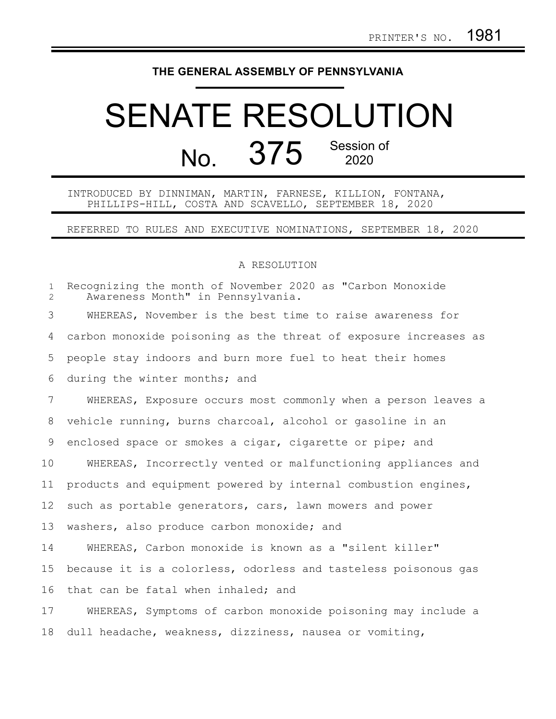## **THE GENERAL ASSEMBLY OF PENNSYLVANIA**

## SENATE RESOLUTION No. 375 Session of

INTRODUCED BY DINNIMAN, MARTIN, FARNESE, KILLION, FONTANA, PHILLIPS-HILL, COSTA AND SCAVELLO, SEPTEMBER 18, 2020

REFERRED TO RULES AND EXECUTIVE NOMINATIONS, SEPTEMBER 18, 2020

## A RESOLUTION

| $\mathbf{1}$<br>$\mathbf{2}^{\prime}$ | Recognizing the month of November 2020 as "Carbon Monoxide<br>Awareness Month" in Pennsylvania. |
|---------------------------------------|-------------------------------------------------------------------------------------------------|
| 3                                     | WHEREAS, November is the best time to raise awareness for                                       |
| 4                                     | carbon monoxide poisoning as the threat of exposure increases as                                |
| 5                                     | people stay indoors and burn more fuel to heat their homes                                      |
| 6                                     | during the winter months; and                                                                   |
| 7                                     | WHEREAS, Exposure occurs most commonly when a person leaves a                                   |
| 8                                     | vehicle running, burns charcoal, alcohol or gasoline in an                                      |
| 9                                     | enclosed space or smokes a cigar, cigarette or pipe; and                                        |
| 10                                    | WHEREAS, Incorrectly vented or malfunctioning appliances and                                    |
| 11                                    | products and equipment powered by internal combustion engines,                                  |
| 12                                    | such as portable generators, cars, lawn mowers and power                                        |
| 13                                    | washers, also produce carbon monoxide; and                                                      |
| 14                                    | WHEREAS, Carbon monoxide is known as a "silent killer"                                          |
| 15                                    | because it is a colorless, odorless and tasteless poisonous gas                                 |
| 16                                    | that can be fatal when inhaled; and                                                             |
| 17                                    | WHEREAS, Symptoms of carbon monoxide poisoning may include a                                    |
| 18                                    | dull headache, weakness, dizziness, nausea or vomiting,                                         |